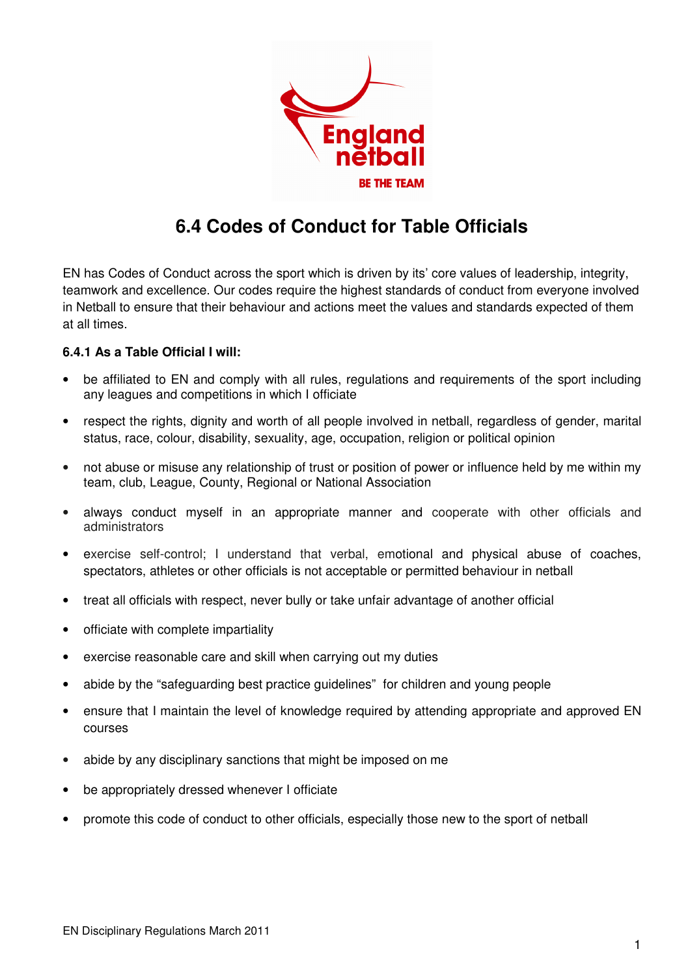

## **6.4 Codes of Conduct for Table Officials**

EN has Codes of Conduct across the sport which is driven by its' core values of leadership, integrity, teamwork and excellence. Our codes require the highest standards of conduct from everyone involved in Netball to ensure that their behaviour and actions meet the values and standards expected of them at all times.

## **6.4.1 As a Table Official I will:**

- be affiliated to EN and comply with all rules, regulations and requirements of the sport including any leagues and competitions in which I officiate
- respect the rights, dignity and worth of all people involved in netball, regardless of gender, marital status, race, colour, disability, sexuality, age, occupation, religion or political opinion
- not abuse or misuse any relationship of trust or position of power or influence held by me within my team, club, League, County, Regional or National Association
- always conduct myself in an appropriate manner and cooperate with other officials and administrators
- exercise self-control; I understand that verbal, emotional and physical abuse of coaches, spectators, athletes or other officials is not acceptable or permitted behaviour in netball
- treat all officials with respect, never bully or take unfair advantage of another official
- officiate with complete impartiality
- exercise reasonable care and skill when carrying out my duties
- abide by the "safeguarding best practice guidelines" for children and young people
- ensure that I maintain the level of knowledge required by attending appropriate and approved EN courses
- abide by any disciplinary sanctions that might be imposed on me
- be appropriately dressed whenever I officiate
- promote this code of conduct to other officials, especially those new to the sport of netball